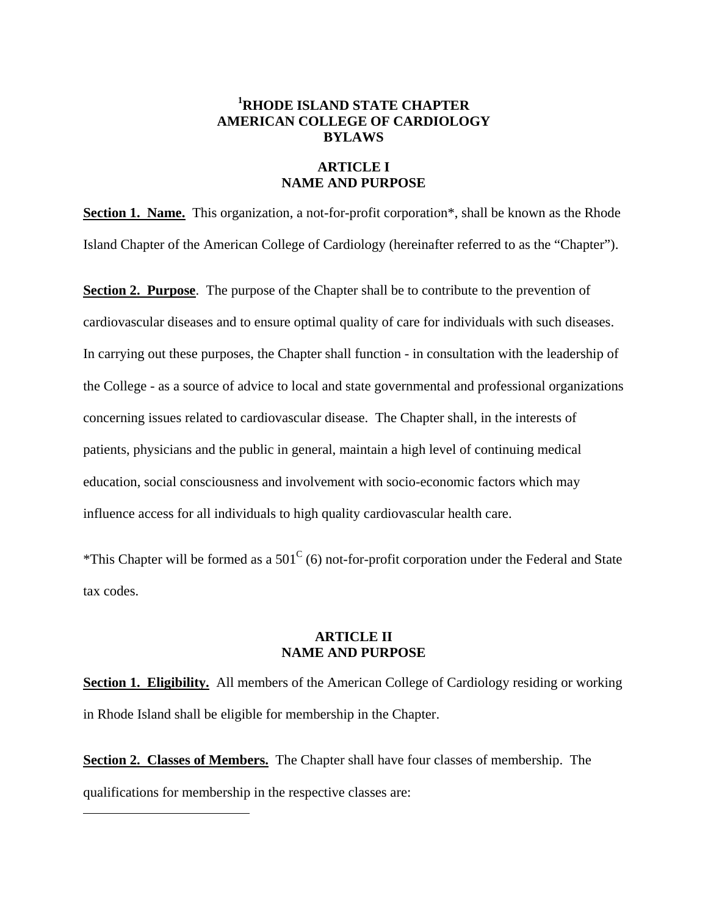# **1 RHODE ISLAND STATE CHAPTER AMERICAN COLLEGE OF CARDIOLOGY BYLAWS**

#### **ARTICLE I NAME AND PURPOSE**

**Section 1. Name.** This organization, a not-for-profit corporation\*, shall be known as the Rhode Island Chapter of the American College of Cardiology (hereinafter referred to as the "Chapter").

**Section 2. Purpose**. The purpose of the Chapter shall be to contribute to the prevention of cardiovascular diseases and to ensure optimal quality of care for individuals with such diseases. In carrying out these purposes, the Chapter shall function - in consultation with the leadership of the College - as a source of advice to local and state governmental and professional organizations concerning issues related to cardiovascular disease. The Chapter shall, in the interests of patients, physicians and the public in general, maintain a high level of continuing medical education, social consciousness and involvement with socio-economic factors which may influence access for all individuals to high quality cardiovascular health care.

\*This Chapter will be formed as a  $501^{\circ}$  (6) not-for-profit corporation under the Federal and State tax codes.

## **ARTICLE II NAME AND PURPOSE**

**Section 1. Eligibility.** All members of the American College of Cardiology residing or working in Rhode Island shall be eligible for membership in the Chapter.

**Section 2. Classes of Members.** The Chapter shall have four classes of membership. The qualifications for membership in the respective classes are:

 $\overline{a}$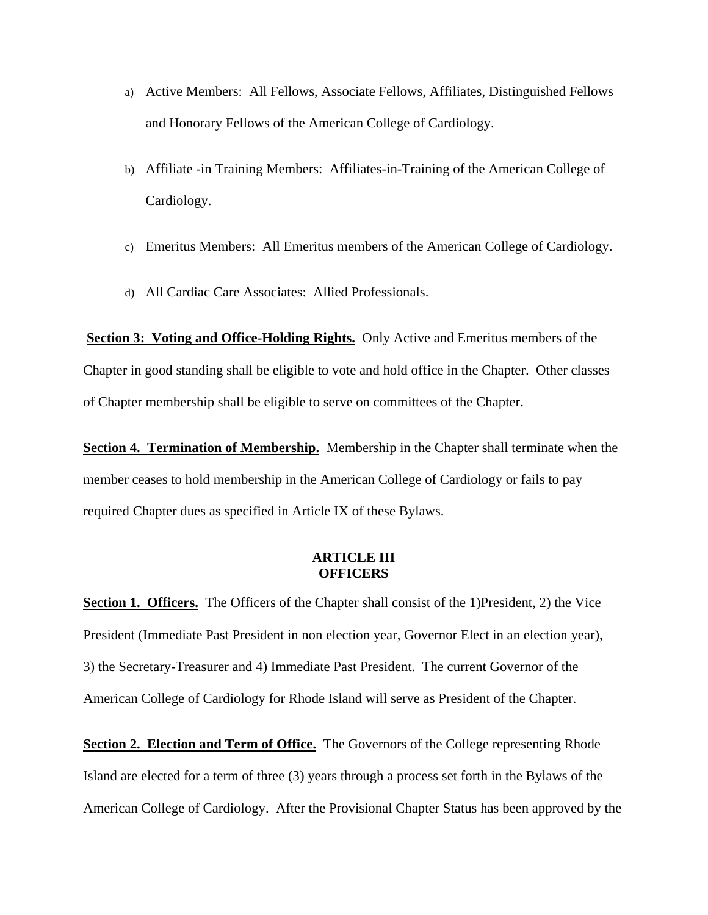- a) Active Members: All Fellows, Associate Fellows, Affiliates, Distinguished Fellows and Honorary Fellows of the American College of Cardiology.
- b) Affiliate -in Training Members: Affiliates-in-Training of the American College of Cardiology.
- c) Emeritus Members: All Emeritus members of the American College of Cardiology.
- d) All Cardiac Care Associates: Allied Professionals.

**Section 3: Voting and Office-Holding Rights.** Only Active and Emeritus members of the Chapter in good standing shall be eligible to vote and hold office in the Chapter. Other classes of Chapter membership shall be eligible to serve on committees of the Chapter.

**Section 4. Termination of Membership.** Membership in the Chapter shall terminate when the member ceases to hold membership in the American College of Cardiology or fails to pay required Chapter dues as specified in Article IX of these Bylaws.

### **ARTICLE III OFFICERS**

**Section 1. Officers.** The Officers of the Chapter shall consist of the 1)President, 2) the Vice President (Immediate Past President in non election year, Governor Elect in an election year), 3) the Secretary-Treasurer and 4) Immediate Past President. The current Governor of the American College of Cardiology for Rhode Island will serve as President of the Chapter.

**Section 2. Election and Term of Office.** The Governors of the College representing Rhode Island are elected for a term of three (3) years through a process set forth in the Bylaws of the American College of Cardiology. After the Provisional Chapter Status has been approved by the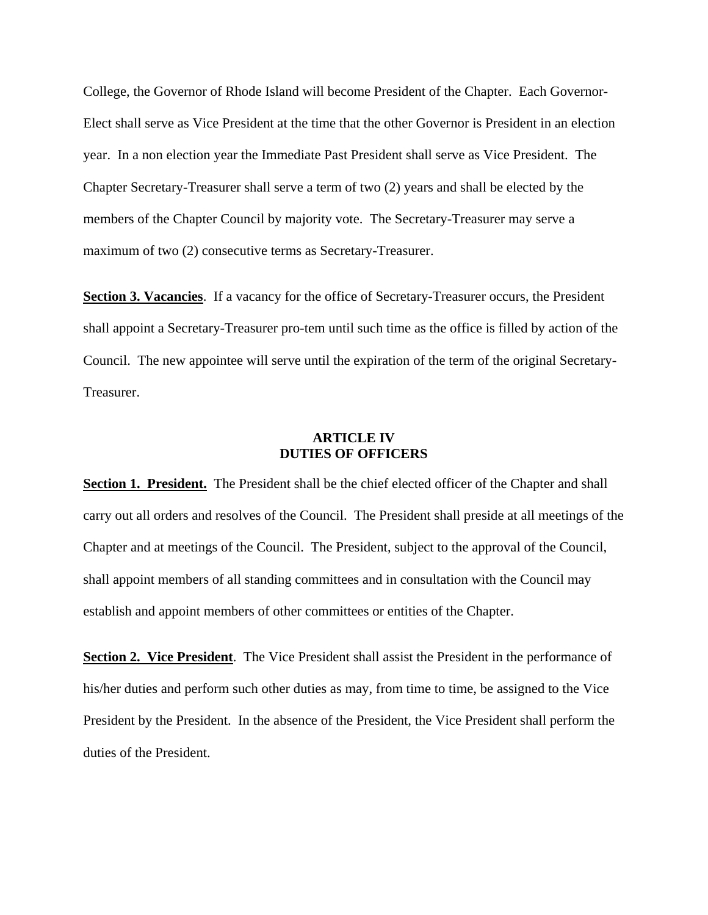College, the Governor of Rhode Island will become President of the Chapter. Each Governor-Elect shall serve as Vice President at the time that the other Governor is President in an election year. In a non election year the Immediate Past President shall serve as Vice President. The Chapter Secretary-Treasurer shall serve a term of two (2) years and shall be elected by the members of the Chapter Council by majority vote. The Secretary-Treasurer may serve a maximum of two (2) consecutive terms as Secretary-Treasurer.

**Section 3. Vacancies**. If a vacancy for the office of Secretary-Treasurer occurs, the President shall appoint a Secretary-Treasurer pro-tem until such time as the office is filled by action of the Council. The new appointee will serve until the expiration of the term of the original Secretary-Treasurer.

## **ARTICLE IV DUTIES OF OFFICERS**

**Section 1. President.** The President shall be the chief elected officer of the Chapter and shall carry out all orders and resolves of the Council. The President shall preside at all meetings of the Chapter and at meetings of the Council. The President, subject to the approval of the Council, shall appoint members of all standing committees and in consultation with the Council may establish and appoint members of other committees or entities of the Chapter.

**Section 2. Vice President**. The Vice President shall assist the President in the performance of his/her duties and perform such other duties as may, from time to time, be assigned to the Vice President by the President. In the absence of the President, the Vice President shall perform the duties of the President.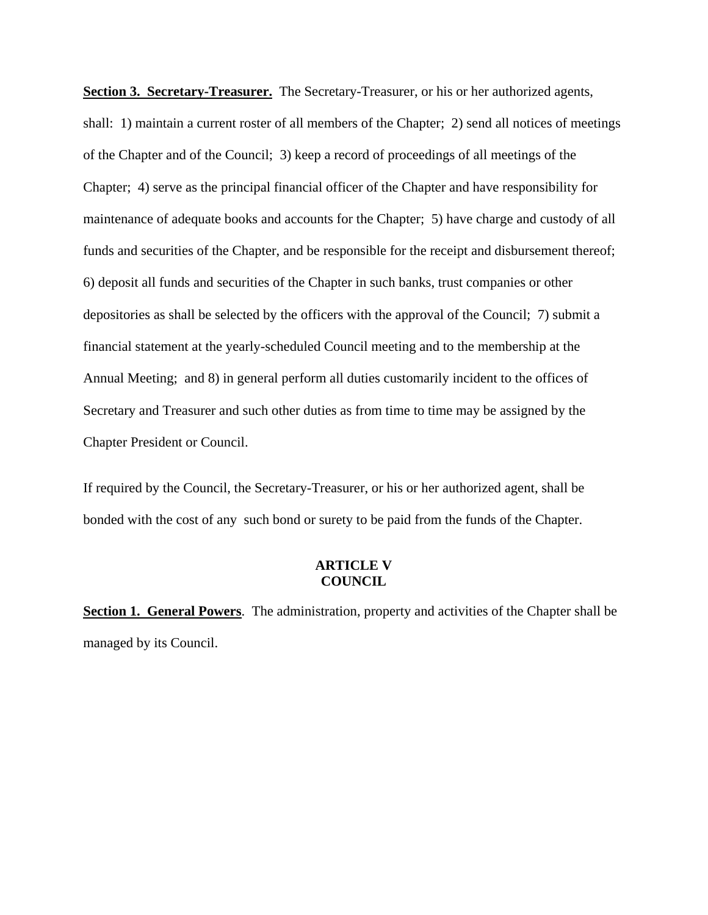**Section 3. Secretary-Treasurer.** The Secretary-Treasurer, or his or her authorized agents, shall: 1) maintain a current roster of all members of the Chapter; 2) send all notices of meetings of the Chapter and of the Council; 3) keep a record of proceedings of all meetings of the Chapter; 4) serve as the principal financial officer of the Chapter and have responsibility for maintenance of adequate books and accounts for the Chapter; 5) have charge and custody of all funds and securities of the Chapter, and be responsible for the receipt and disbursement thereof; 6) deposit all funds and securities of the Chapter in such banks, trust companies or other depositories as shall be selected by the officers with the approval of the Council; 7) submit a financial statement at the yearly-scheduled Council meeting and to the membership at the Annual Meeting; and 8) in general perform all duties customarily incident to the offices of Secretary and Treasurer and such other duties as from time to time may be assigned by the Chapter President or Council.

If required by the Council, the Secretary-Treasurer, or his or her authorized agent, shall be bonded with the cost of any such bond or surety to be paid from the funds of the Chapter.

#### **ARTICLE V COUNCIL**

**Section 1. General Powers**. The administration, property and activities of the Chapter shall be managed by its Council.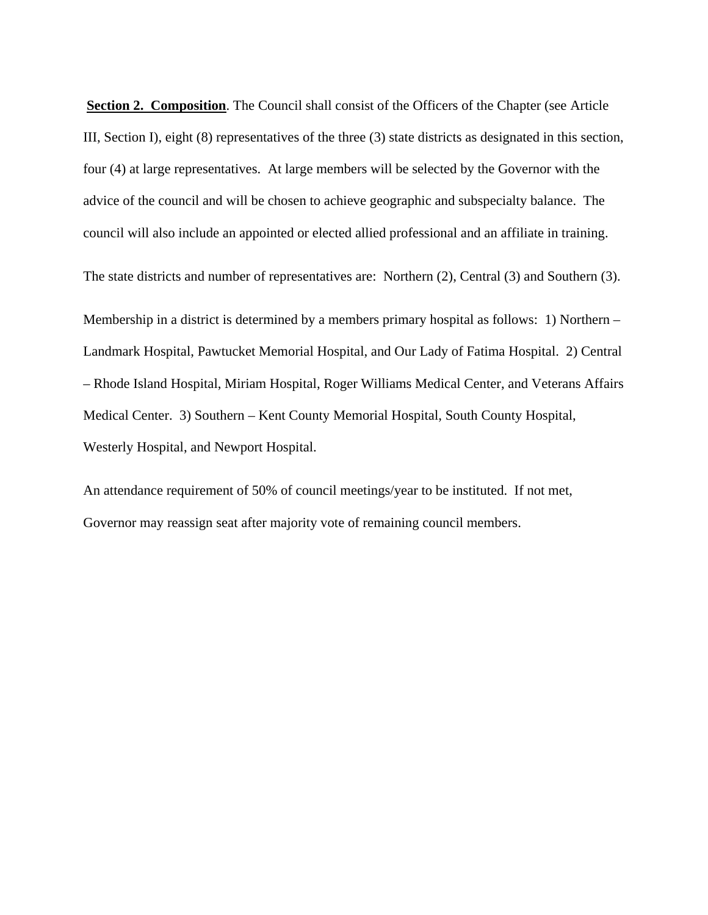**Section 2. Composition.** The Council shall consist of the Officers of the Chapter (see Article III, Section I), eight (8) representatives of the three (3) state districts as designated in this section, four (4) at large representatives. At large members will be selected by the Governor with the advice of the council and will be chosen to achieve geographic and subspecialty balance. The council will also include an appointed or elected allied professional and an affiliate in training.

The state districts and number of representatives are: Northern (2), Central (3) and Southern (3).

Membership in a district is determined by a members primary hospital as follows: 1) Northern – Landmark Hospital, Pawtucket Memorial Hospital, and Our Lady of Fatima Hospital. 2) Central – Rhode Island Hospital, Miriam Hospital, Roger Williams Medical Center, and Veterans Affairs Medical Center. 3) Southern – Kent County Memorial Hospital, South County Hospital, Westerly Hospital, and Newport Hospital.

An attendance requirement of 50% of council meetings/year to be instituted. If not met, Governor may reassign seat after majority vote of remaining council members.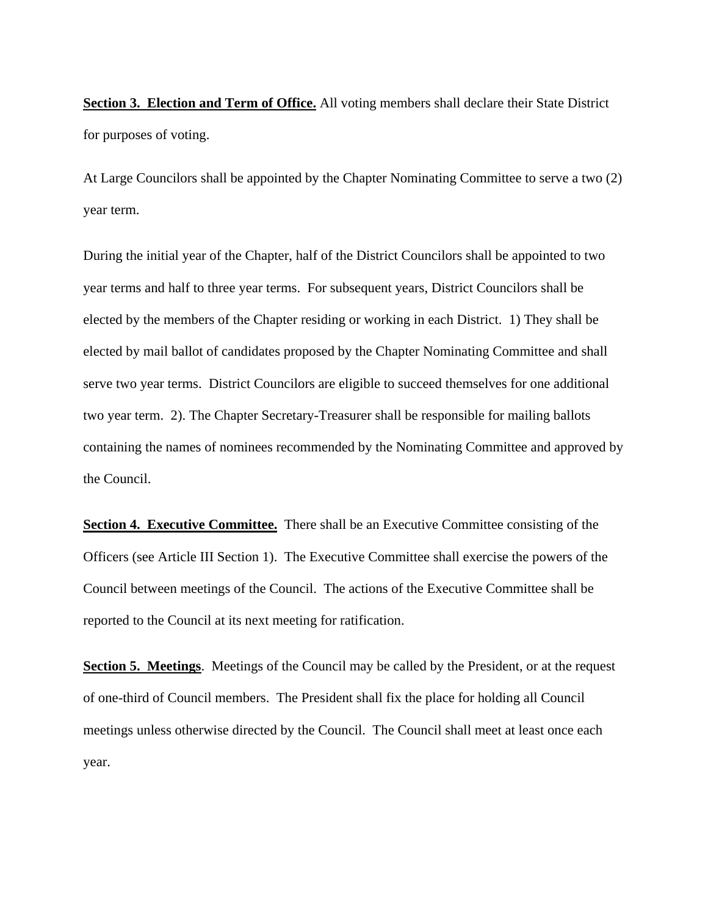**Section 3. Election and Term of Office.** All voting members shall declare their State District for purposes of voting.

At Large Councilors shall be appointed by the Chapter Nominating Committee to serve a two (2) year term.

During the initial year of the Chapter, half of the District Councilors shall be appointed to two year terms and half to three year terms. For subsequent years, District Councilors shall be elected by the members of the Chapter residing or working in each District. 1) They shall be elected by mail ballot of candidates proposed by the Chapter Nominating Committee and shall serve two year terms. District Councilors are eligible to succeed themselves for one additional two year term. 2). The Chapter Secretary-Treasurer shall be responsible for mailing ballots containing the names of nominees recommended by the Nominating Committee and approved by the Council.

**Section 4. Executive Committee.** There shall be an Executive Committee consisting of the Officers (see Article III Section 1). The Executive Committee shall exercise the powers of the Council between meetings of the Council. The actions of the Executive Committee shall be reported to the Council at its next meeting for ratification.

**Section 5. Meetings**. Meetings of the Council may be called by the President, or at the request of one-third of Council members. The President shall fix the place for holding all Council meetings unless otherwise directed by the Council. The Council shall meet at least once each year.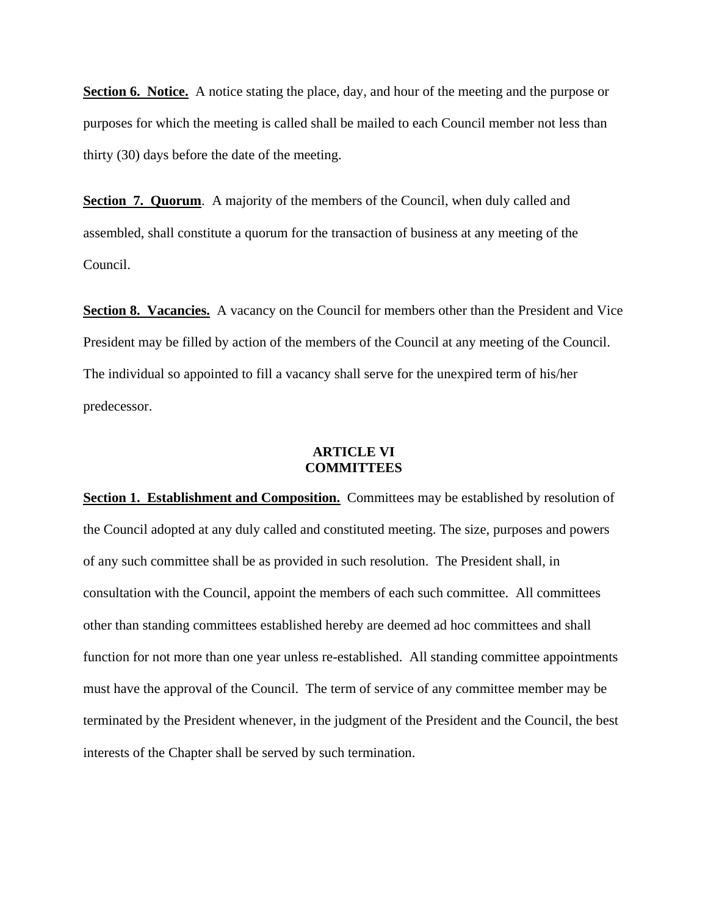**Section 6. Notice.** A notice stating the place, day, and hour of the meeting and the purpose or purposes for which the meeting is called shall be mailed to each Council member not less than thirty (30) days before the date of the meeting.

**Section 7. Quorum.** A majority of the members of the Council, when duly called and assembled, shall constitute a quorum for the transaction of business at any meeting of the Council.

**Section 8. Vacancies.** A vacancy on the Council for members other than the President and Vice President may be filled by action of the members of the Council at any meeting of the Council. The individual so appointed to fill a vacancy shall serve for the unexpired term of his/her predecessor.

### **ARTICLE VI COMMITTEES**

**Section 1. Establishment and Composition.** Committees may be established by resolution of the Council adopted at any duly called and constituted meeting. The size, purposes and powers of any such committee shall be as provided in such resolution. The President shall, in consultation with the Council, appoint the members of each such committee. All committees other than standing committees established hereby are deemed ad hoc committees and shall function for not more than one year unless re-established. All standing committee appointments must have the approval of the Council. The term of service of any committee member may be terminated by the President whenever, in the judgment of the President and the Council, the best interests of the Chapter shall be served by such termination.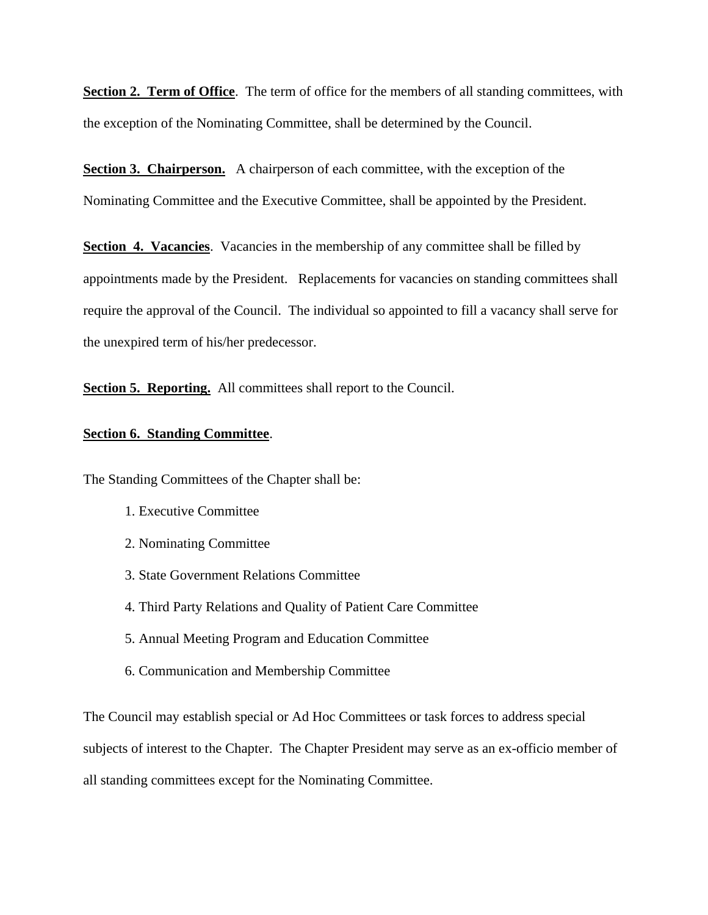**Section 2. Term of Office**. The term of office for the members of all standing committees, with the exception of the Nominating Committee, shall be determined by the Council.

**Section 3. Chairperson.** A chairperson of each committee, with the exception of the Nominating Committee and the Executive Committee, shall be appointed by the President.

**Section 4. Vacancies**. Vacancies in the membership of any committee shall be filled by appointments made by the President. Replacements for vacancies on standing committees shall require the approval of the Council. The individual so appointed to fill a vacancy shall serve for the unexpired term of his/her predecessor.

**Section 5. Reporting.** All committees shall report to the Council.

#### **Section 6. Standing Committee**.

The Standing Committees of the Chapter shall be:

- 1. Executive Committee
- 2. Nominating Committee
- 3. State Government Relations Committee
- 4. Third Party Relations and Quality of Patient Care Committee
- 5. Annual Meeting Program and Education Committee
- 6. Communication and Membership Committee

The Council may establish special or Ad Hoc Committees or task forces to address special subjects of interest to the Chapter. The Chapter President may serve as an ex-officio member of all standing committees except for the Nominating Committee.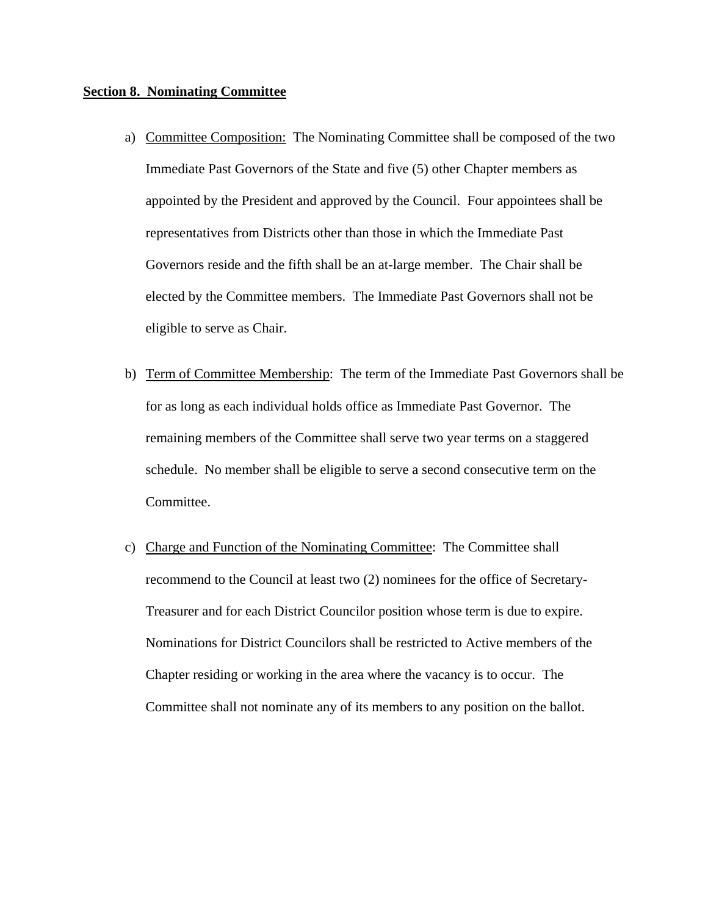#### **Section 8. Nominating Committee**

- a) Committee Composition: The Nominating Committee shall be composed of the two Immediate Past Governors of the State and five (5) other Chapter members as appointed by the President and approved by the Council. Four appointees shall be representatives from Districts other than those in which the Immediate Past Governors reside and the fifth shall be an at-large member. The Chair shall be elected by the Committee members. The Immediate Past Governors shall not be eligible to serve as Chair.
- b) Term of Committee Membership: The term of the Immediate Past Governors shall be for as long as each individual holds office as Immediate Past Governor. The remaining members of the Committee shall serve two year terms on a staggered schedule. No member shall be eligible to serve a second consecutive term on the Committee.
- c) Charge and Function of the Nominating Committee: The Committee shall recommend to the Council at least two (2) nominees for the office of Secretary-Treasurer and for each District Councilor position whose term is due to expire. Nominations for District Councilors shall be restricted to Active members of the Chapter residing or working in the area where the vacancy is to occur. The Committee shall not nominate any of its members to any position on the ballot.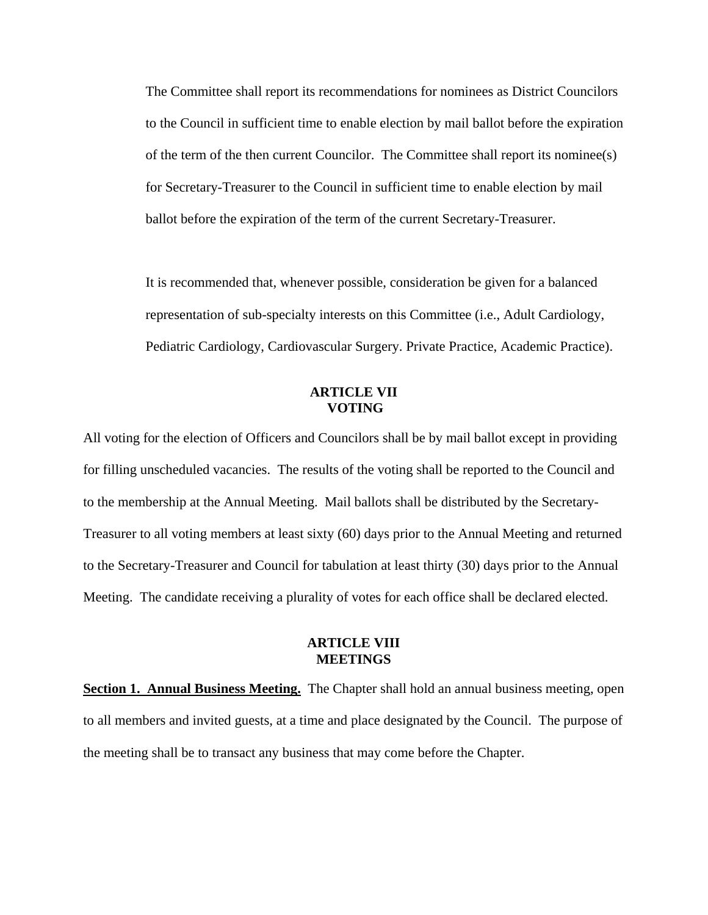The Committee shall report its recommendations for nominees as District Councilors to the Council in sufficient time to enable election by mail ballot before the expiration of the term of the then current Councilor. The Committee shall report its nominee(s) for Secretary-Treasurer to the Council in sufficient time to enable election by mail ballot before the expiration of the term of the current Secretary-Treasurer.

It is recommended that, whenever possible, consideration be given for a balanced representation of sub-specialty interests on this Committee (i.e., Adult Cardiology, Pediatric Cardiology, Cardiovascular Surgery. Private Practice, Academic Practice).

#### **ARTICLE VII VOTING**

All voting for the election of Officers and Councilors shall be by mail ballot except in providing for filling unscheduled vacancies. The results of the voting shall be reported to the Council and to the membership at the Annual Meeting. Mail ballots shall be distributed by the Secretary-Treasurer to all voting members at least sixty (60) days prior to the Annual Meeting and returned to the Secretary-Treasurer and Council for tabulation at least thirty (30) days prior to the Annual Meeting. The candidate receiving a plurality of votes for each office shall be declared elected.

#### **ARTICLE VIII MEETINGS**

**Section 1. Annual Business Meeting.** The Chapter shall hold an annual business meeting, open to all members and invited guests, at a time and place designated by the Council. The purpose of the meeting shall be to transact any business that may come before the Chapter.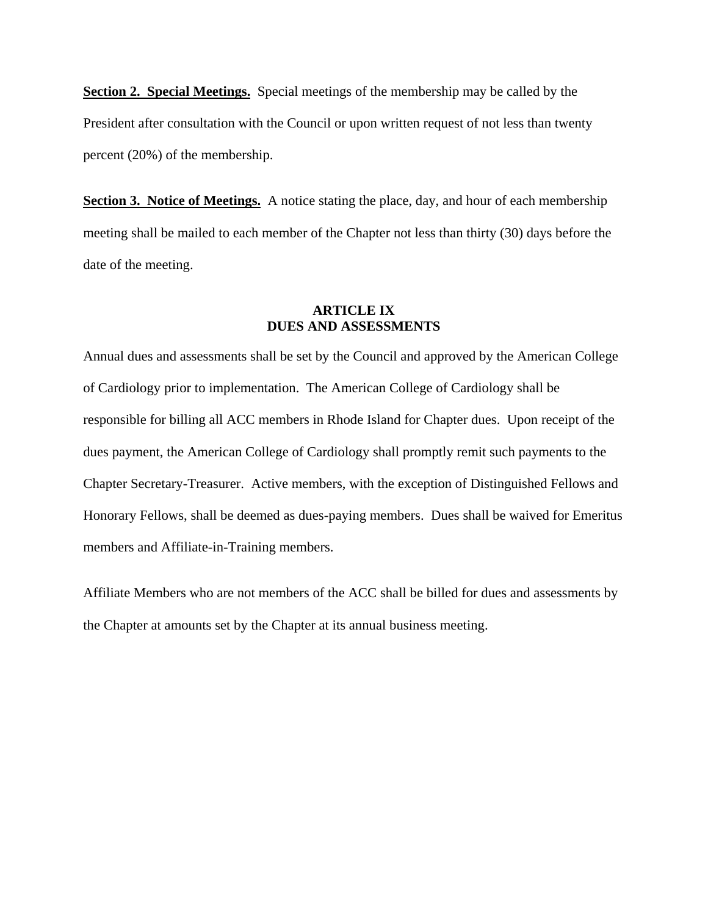**Section 2. Special Meetings.** Special meetings of the membership may be called by the President after consultation with the Council or upon written request of not less than twenty percent (20%) of the membership.

**Section 3. Notice of Meetings.** A notice stating the place, day, and hour of each membership meeting shall be mailed to each member of the Chapter not less than thirty (30) days before the date of the meeting.

### **ARTICLE IX DUES AND ASSESSMENTS**

Annual dues and assessments shall be set by the Council and approved by the American College of Cardiology prior to implementation. The American College of Cardiology shall be responsible for billing all ACC members in Rhode Island for Chapter dues. Upon receipt of the dues payment, the American College of Cardiology shall promptly remit such payments to the Chapter Secretary-Treasurer. Active members, with the exception of Distinguished Fellows and Honorary Fellows, shall be deemed as dues-paying members. Dues shall be waived for Emeritus members and Affiliate-in-Training members.

Affiliate Members who are not members of the ACC shall be billed for dues and assessments by the Chapter at amounts set by the Chapter at its annual business meeting.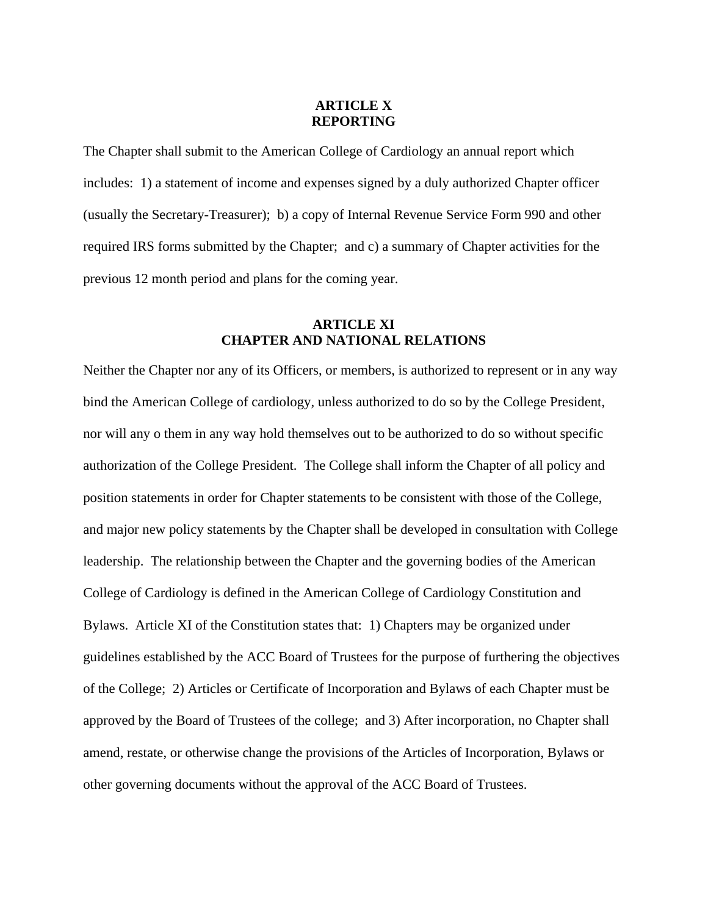## **ARTICLE X REPORTING**

The Chapter shall submit to the American College of Cardiology an annual report which includes: 1) a statement of income and expenses signed by a duly authorized Chapter officer (usually the Secretary-Treasurer); b) a copy of Internal Revenue Service Form 990 and other required IRS forms submitted by the Chapter; and c) a summary of Chapter activities for the previous 12 month period and plans for the coming year.

# **ARTICLE XI CHAPTER AND NATIONAL RELATIONS**

Neither the Chapter nor any of its Officers, or members, is authorized to represent or in any way bind the American College of cardiology, unless authorized to do so by the College President, nor will any o them in any way hold themselves out to be authorized to do so without specific authorization of the College President. The College shall inform the Chapter of all policy and position statements in order for Chapter statements to be consistent with those of the College, and major new policy statements by the Chapter shall be developed in consultation with College leadership. The relationship between the Chapter and the governing bodies of the American College of Cardiology is defined in the American College of Cardiology Constitution and Bylaws. Article XI of the Constitution states that: 1) Chapters may be organized under guidelines established by the ACC Board of Trustees for the purpose of furthering the objectives of the College; 2) Articles or Certificate of Incorporation and Bylaws of each Chapter must be approved by the Board of Trustees of the college; and 3) After incorporation, no Chapter shall amend, restate, or otherwise change the provisions of the Articles of Incorporation, Bylaws or other governing documents without the approval of the ACC Board of Trustees.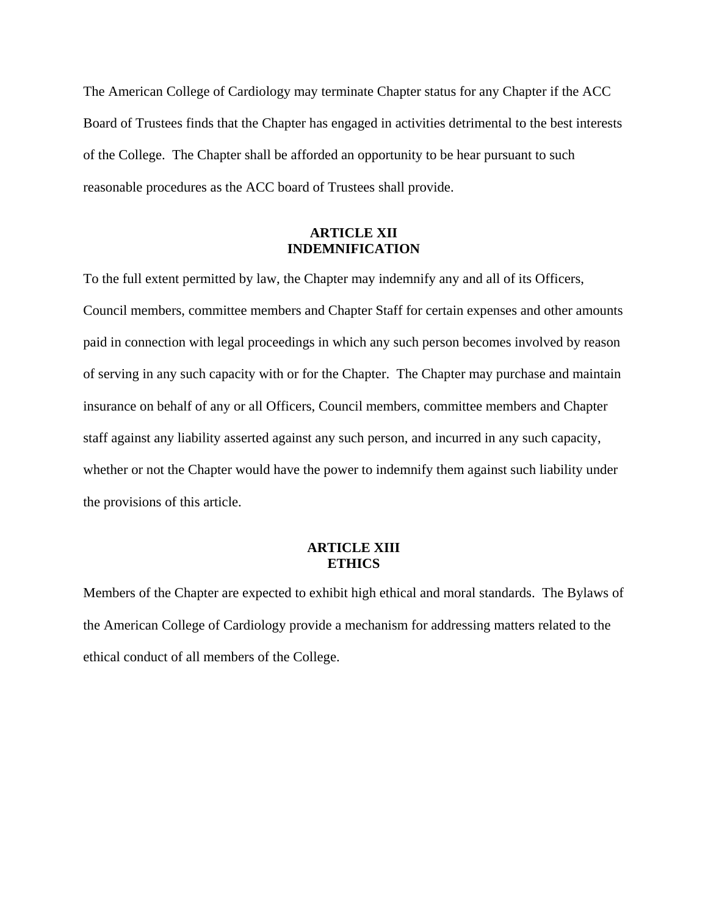The American College of Cardiology may terminate Chapter status for any Chapter if the ACC Board of Trustees finds that the Chapter has engaged in activities detrimental to the best interests of the College. The Chapter shall be afforded an opportunity to be hear pursuant to such reasonable procedures as the ACC board of Trustees shall provide.

## **ARTICLE XII INDEMNIFICATION**

To the full extent permitted by law, the Chapter may indemnify any and all of its Officers, Council members, committee members and Chapter Staff for certain expenses and other amounts paid in connection with legal proceedings in which any such person becomes involved by reason of serving in any such capacity with or for the Chapter. The Chapter may purchase and maintain insurance on behalf of any or all Officers, Council members, committee members and Chapter staff against any liability asserted against any such person, and incurred in any such capacity, whether or not the Chapter would have the power to indemnify them against such liability under the provisions of this article.

## **ARTICLE XIII ETHICS**

Members of the Chapter are expected to exhibit high ethical and moral standards. The Bylaws of the American College of Cardiology provide a mechanism for addressing matters related to the ethical conduct of all members of the College.